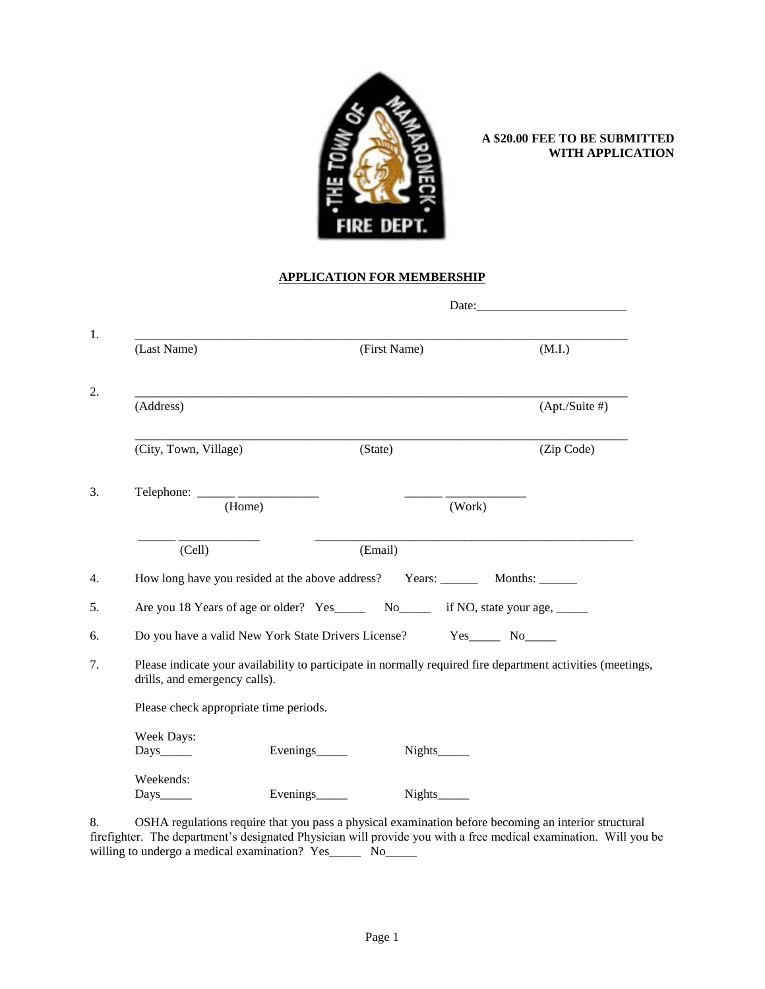

### **A \$20.00 FEE TO BE SUBMITTED WITH APPLICATION**

#### **APPLICATION FOR MEMBERSHIP**

|                                                                                                                                              |                |        | Date:             |
|----------------------------------------------------------------------------------------------------------------------------------------------|----------------|--------|-------------------|
| (Last Name)                                                                                                                                  | (First Name)   |        | (M.I.)            |
| (Address)                                                                                                                                    |                |        | $(Apt./Suite \#)$ |
| (City, Town, Village)                                                                                                                        | (State)        |        | (Zip Code)        |
| $Telephone: \_\_\_\_\_\_\_\_\_\_\_\_\_\_\_\_\_\_\_\_\_\_\_\_\_\_\_$<br>(Home)                                                                |                | (Work) |                   |
| (Cell)                                                                                                                                       | (Email)        |        |                   |
|                                                                                                                                              |                |        |                   |
| Are you 18 Years of age or older? Yes_______ No_______ if NO, state your age, ______                                                         |                |        |                   |
| Do you have a valid New York State Drivers License? Yes_______ No______                                                                      |                |        |                   |
| Please indicate your availability to participate in normally required fire department activities (meetings,<br>drills, and emergency calls). |                |        |                   |
| Please check appropriate time periods.                                                                                                       |                |        |                   |
| Week Days:<br>Days_____                                                                                                                      | Evenings______ |        |                   |
| Weekends:<br>$_{\rm Days_{\_\_\_\_\_}$                                                                                                       | Evenings       |        |                   |

8. OSHA regulations require that you pass a physical examination before becoming an interior structural firefighter. The department's designated Physician will provide you with a free medical examination. Will you be willing to undergo a medical examination? Yes\_\_\_\_\_\_ No\_\_\_\_\_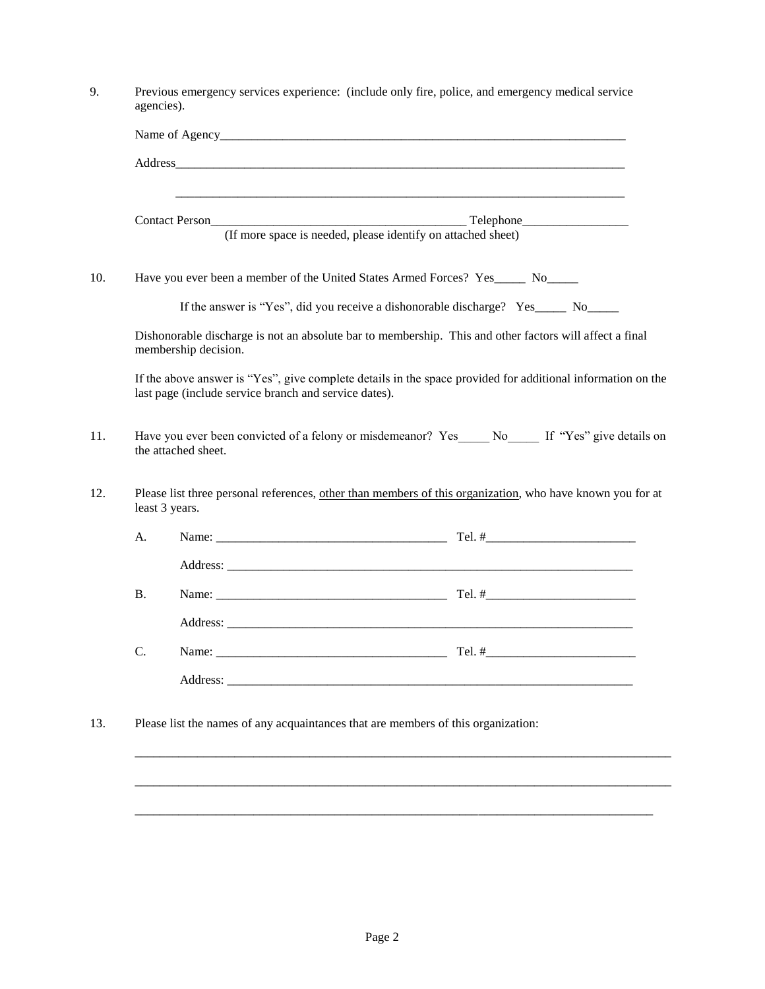|           |                                                                                                                                                                                                                               | (If more space is needed, please identify on attached sheet)                                                                                                                                          |
|-----------|-------------------------------------------------------------------------------------------------------------------------------------------------------------------------------------------------------------------------------|-------------------------------------------------------------------------------------------------------------------------------------------------------------------------------------------------------|
|           |                                                                                                                                                                                                                               | Have you ever been a member of the United States Armed Forces? Yes_______ No______                                                                                                                    |
|           |                                                                                                                                                                                                                               | If the answer is "Yes", did you receive a dishonorable discharge? Yes_____ No_____                                                                                                                    |
|           | membership decision.                                                                                                                                                                                                          | Dishonorable discharge is not an absolute bar to membership. This and other factors will affect a final                                                                                               |
|           | last page (include service branch and service dates).                                                                                                                                                                         | If the above answer is "Yes", give complete details in the space provided for additional information on the                                                                                           |
|           |                                                                                                                                                                                                                               |                                                                                                                                                                                                       |
|           | the attached sheet.<br>least 3 years.                                                                                                                                                                                         |                                                                                                                                                                                                       |
|           |                                                                                                                                                                                                                               |                                                                                                                                                                                                       |
| A.        |                                                                                                                                                                                                                               | Have you ever been convicted of a felony or misdemeanor? Yes No If "Yes" give details on<br>Please list three personal references, other than members of this organization, who have known you for at |
|           |                                                                                                                                                                                                                               |                                                                                                                                                                                                       |
| <b>B.</b> |                                                                                                                                                                                                                               |                                                                                                                                                                                                       |
| C.        | Name: Name and the second contract of the second contract of the second contract of the second contract of the second contract of the second contract of the second contract of the second contract of the second contract of | Tel. $#_$                                                                                                                                                                                             |
|           |                                                                                                                                                                                                                               |                                                                                                                                                                                                       |
|           | Please list the names of any acquaintances that are members of this organization:                                                                                                                                             |                                                                                                                                                                                                       |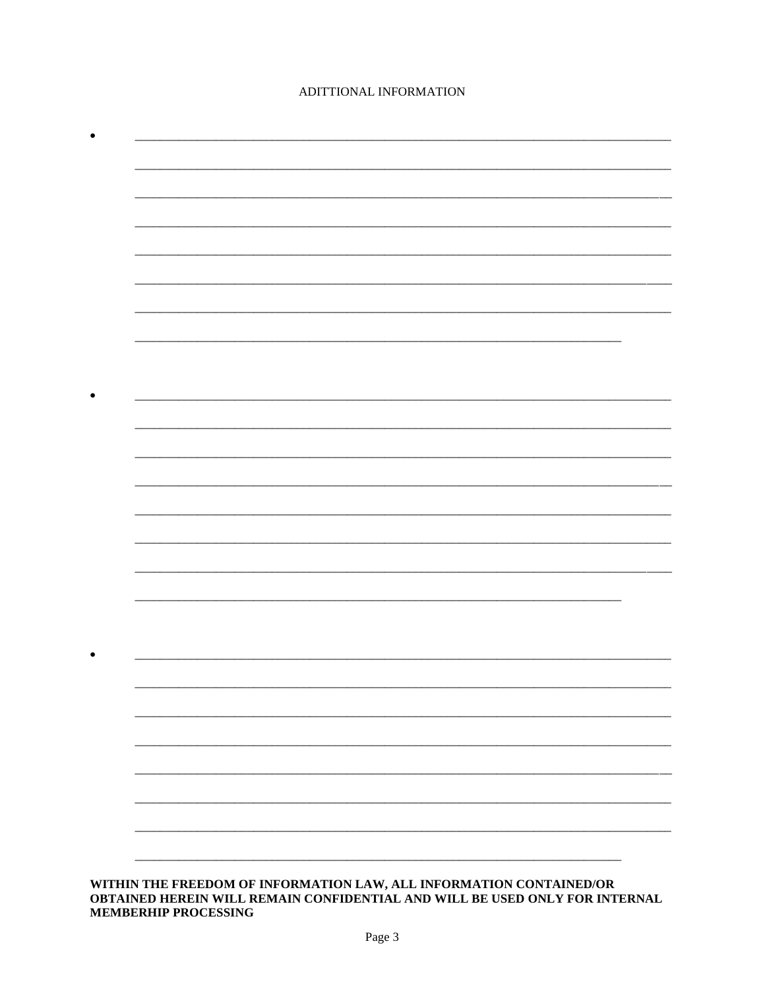## ADITTIONAL INFORMATION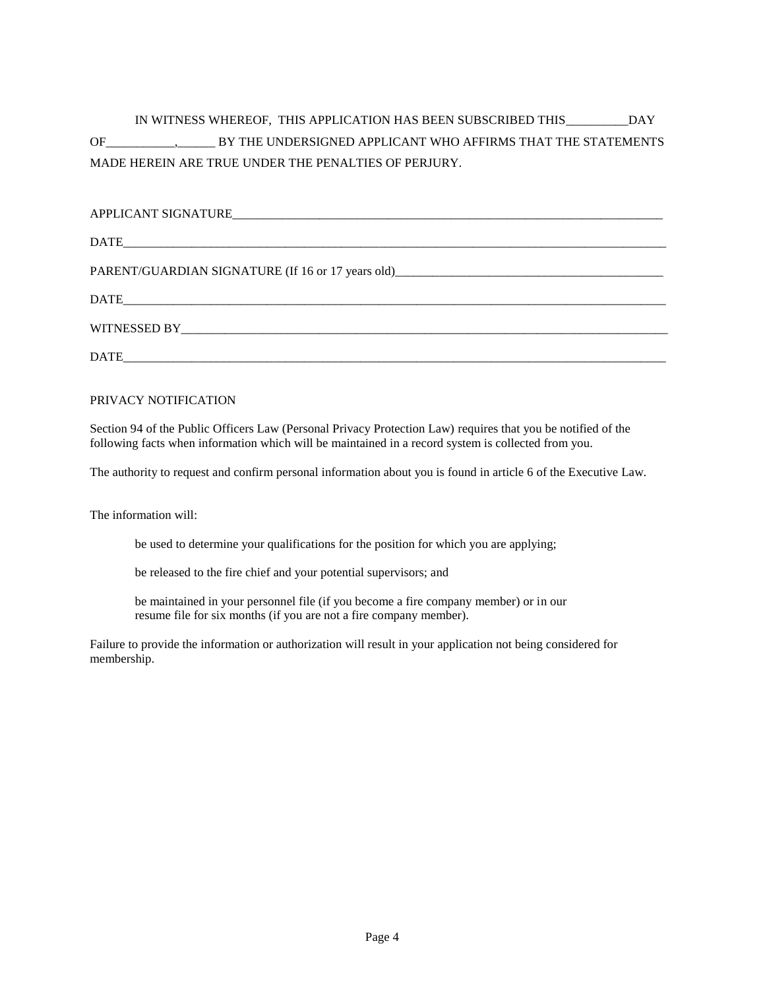# IN WITNESS WHEREOF, THIS APPLICATION HAS BEEN SUBSCRIBED THIS\_\_\_\_\_\_\_\_\_\_DAY OF\_\_\_\_\_\_\_\_\_\_\_,\_\_\_\_\_\_ BY THE UNDERSIGNED APPLICANT WHO AFFIRMS THAT THE STATEMENTS MADE HEREIN ARE TRUE UNDER THE PENALTIES OF PERJURY.

| PARENT/GUARDIAN SIGNATURE (If 16 or 17 years old) |
|---------------------------------------------------|
|                                                   |
|                                                   |
|                                                   |

### PRIVACY NOTIFICATION

Section 94 of the Public Officers Law (Personal Privacy Protection Law) requires that you be notified of the following facts when information which will be maintained in a record system is collected from you.

The authority to request and confirm personal information about you is found in article 6 of the Executive Law.

The information will:

be used to determine your qualifications for the position for which you are applying;

be released to the fire chief and your potential supervisors; and

be maintained in your personnel file (if you become a fire company member) or in our resume file for six months (if you are not a fire company member).

Failure to provide the information or authorization will result in your application not being considered for membership.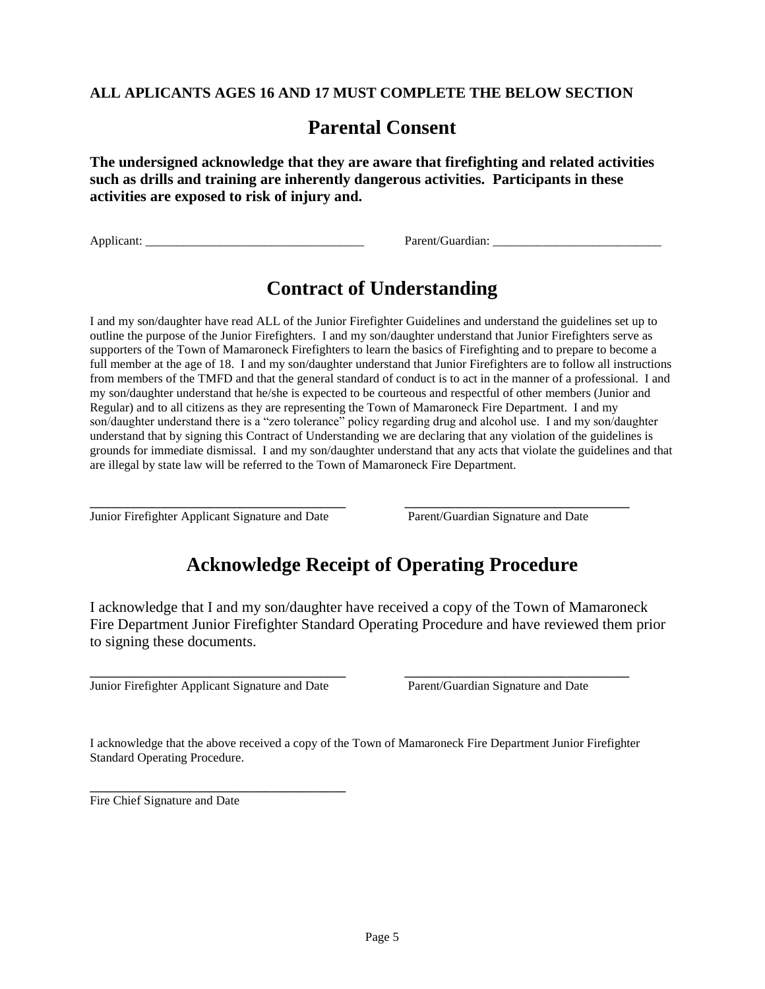## **ALL APLICANTS AGES 16 AND 17 MUST COMPLETE THE BELOW SECTION**

# **Parental Consent**

**The undersigned acknowledge that they are aware that firefighting and related activities such as drills and training are inherently dangerous activities. Participants in these activities are exposed to risk of injury and.**

Applicant: \_\_\_\_\_\_\_\_\_\_\_\_\_\_\_\_\_\_\_\_\_\_\_\_\_\_\_\_\_\_\_\_\_\_\_ Parent/Guardian: \_\_\_\_\_\_\_\_\_\_\_\_\_\_\_\_\_\_\_\_\_\_\_\_\_\_\_

# **Contract of Understanding**

I and my son/daughter have read ALL of the Junior Firefighter Guidelines and understand the guidelines set up to outline the purpose of the Junior Firefighters. I and my son/daughter understand that Junior Firefighters serve as supporters of the Town of Mamaroneck Firefighters to learn the basics of Firefighting and to prepare to become a full member at the age of 18. I and my son/daughter understand that Junior Firefighters are to follow all instructions from members of the TMFD and that the general standard of conduct is to act in the manner of a professional. I and my son/daughter understand that he/she is expected to be courteous and respectful of other members (Junior and Regular) and to all citizens as they are representing the Town of Mamaroneck Fire Department. I and my son/daughter understand there is a "zero tolerance" policy regarding drug and alcohol use. I and my son/daughter understand that by signing this Contract of Understanding we are declaring that any violation of the guidelines is grounds for immediate dismissal. I and my son/daughter understand that any acts that violate the guidelines and that are illegal by state law will be referred to the Town of Mamaroneck Fire Department.

**\_\_\_\_\_\_\_\_\_\_\_\_\_\_\_\_\_\_\_\_\_\_\_\_\_\_\_\_\_\_\_\_\_\_\_\_\_\_\_\_\_ \_\_\_\_\_\_\_\_\_\_\_\_\_\_\_\_\_\_\_\_\_\_\_\_\_\_\_\_\_\_\_\_\_\_\_\_** Junior Firefighter Applicant Signature and Date Parent/Guardian Signature and Date

# **Acknowledge Receipt of Operating Procedure**

I acknowledge that I and my son/daughter have received a copy of the Town of Mamaroneck Fire Department Junior Firefighter Standard Operating Procedure and have reviewed them prior to signing these documents.

**\_\_\_\_\_\_\_\_\_\_\_\_\_\_\_\_\_\_\_\_\_\_\_\_\_\_\_\_\_\_\_\_\_\_\_\_\_\_\_\_\_ \_\_\_\_\_\_\_\_\_\_\_\_\_\_\_\_\_\_\_\_\_\_\_\_\_\_\_\_\_\_\_\_\_\_\_\_** Junior Firefighter Applicant Signature and Date Parent/Guardian Signature and Date

I acknowledge that the above received a copy of the Town of Mamaroneck Fire Department Junior Firefighter Standard Operating Procedure.

**\_\_\_\_\_\_\_\_\_\_\_\_\_\_\_\_\_\_\_\_\_\_\_\_\_\_\_\_\_\_\_\_\_\_\_\_\_\_\_\_\_** Fire Chief Signature and Date